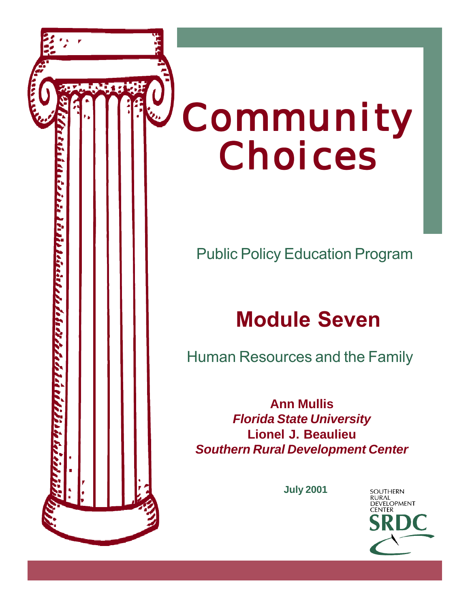

Public Policy Education Program

# Module Seven

Human Resources and the Family

ز د زار آن ار آن از آن از گرفتن از آن از آن از آن از آن از آن از این ان از آن از آن از این ان از این ان ان ای

**Ann Mullis** *Florida State University* **Lionel J. Beaulieu** *Southern Rural Development Center*

**July 2001**

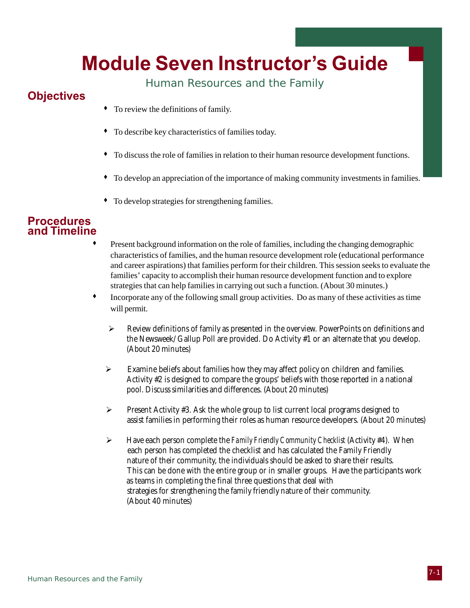# Module Seven Instructor's Guide

Human Resources and the Family

### **Objectives**

- To review the definitions of family.
- To describe key characteristics of families today.
- To discuss the role of families in relation to their human resource development functions.
- To develop an appreciation of the importance of making community investments in families.
- To develop strategies for strengthening families.

### **Procedures** and Timeline

- Present background information on the role of families, including the changing demographic characteristics of families, and the human resource development role (educational performance and career aspirations) that families perform for their children. This session seeks to evaluate the families' capacity to accomplish their human resource development function and to explore strategies that can help families in carrying out such a function. (About 30 minutes.)
- Incorporate any of the following small group activities. Do as many of these activities as time will permit.
	- ¾ Review definitions of family as presented in the overview. PowerPoints on definitions and the Newsweek/Gallup Poll are provided. Do Activity #1 or an alternate that you develop. (About 20 minutes)
	- $\triangleright$  Examine beliefs about families how they may affect policy on children and families. Activity #2 is designed to compare the groups' beliefs with those reported in a national pool. Discuss similarities and differences. (About 20 minutes)
	- $\triangleright$  Present Activity #3. Ask the whole group to list current local programs designed to assist families in performing their roles as human resource developers. (About 20 minutes)
	- ¾ Have each person complete the *Family Friendly Community Checklist* (Activity #4). When each person has completed the checklist and has calculated the Family Friendly nature of their community, the individuals should be asked to share their results. This can be done with the entire group or in smaller groups. Have the participants work as teams in completing the final three questions that deal with strategies for strengthening the family friendly nature of their community. (About 40 minutes)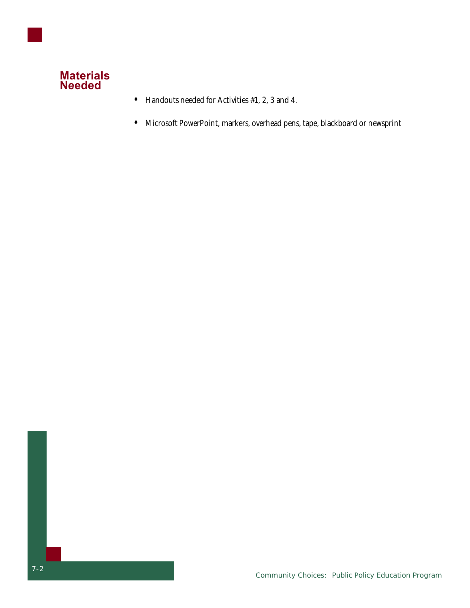

- Handouts needed for Activities #1, 2, 3 and 4.
- Microsoft PowerPoint, markers, overhead pens, tape, blackboard or newsprint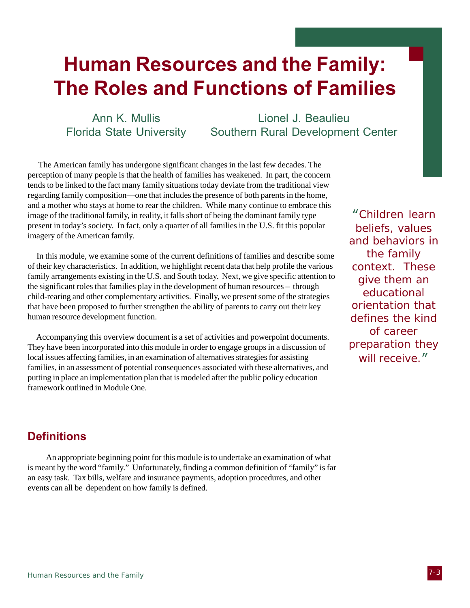# Human Resources and the Family: The Roles and Functions of Families

Ann K. Mullis Florida State University

Lionel J. Beaulieu Southern Rural Development Center

 The American family has undergone significant changes in the last few decades. The perception of many people is that the health of families has weakened. In part, the concern tends to be linked to the fact many family situations today deviate from the traditional view regarding family composition—one that includes the presence of both parents in the home, and a mother who stays at home to rear the children. While many continue to embrace this image of the traditional family, in reality, it falls short of being the dominant family type present in today's society. In fact, only a quarter of all families in the U.S. fit this popular imagery of the American family.

 In this module, we examine some of the current definitions of families and describe some of their key characteristics. In addition, we highlight recent data that help profile the various family arrangements existing in the U.S. and South today. Next, we give specific attention to the significant roles that families play in the development of human resources – through child-rearing and other complementary activities. Finally, we present some of the strategies that have been proposed to further strengthen the ability of parents to carry out their key human resource development function.

 Accompanying this overview document is a set of activities and powerpoint documents. They have been incorporated into this module in order to engage groups in a discussion of local issues affecting families, in an examination of alternatives strategies for assisting families, in an assessment of potential consequences associated with these alternatives, and putting in place an implementation plan that is modeled after the public policy education framework outlined in Module One.

"Children learn beliefs, values and behaviors in the family context. These give them an educational orientation that defines the kind of career preparation they will receive."

### **Definitions**

An appropriate beginning point for this module is to undertake an examination of what is meant by the word "family." Unfortunately, finding a common definition of "family" is far an easy task. Tax bills, welfare and insurance payments, adoption procedures, and other events can all be dependent on how family is defined.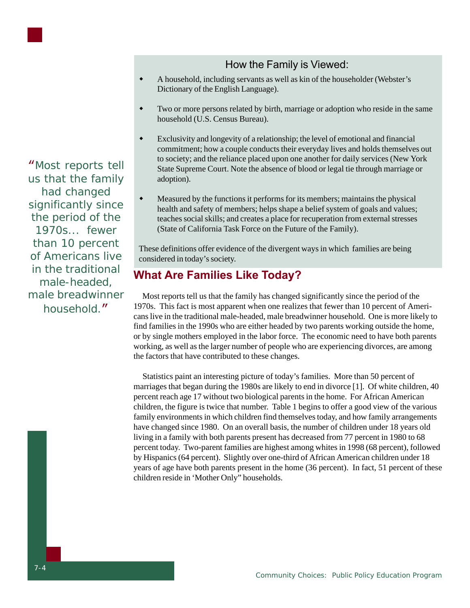"Most reports tell us that the family had changed significantly since the period of the 1970s... fewer than 10 percent of Americans live in the traditional male-headed, male breadwinner household."

### How the Family is Viewed:

- A household, including servants as well as kin of the householder (Webster's Dictionary of the English Language).
- Two or more persons related by birth, marriage or adoption who reside in the same household (U.S. Census Bureau).
- Exclusivity and longevity of a relationship; the level of emotional and financial commitment; how a couple conducts their everyday lives and holds themselves out to society; and the reliance placed upon one another for daily services (New York State Supreme Court. Note the absence of blood or legal tie through marriage or adoption).
- Measured by the functions it performs for its members; maintains the physical health and safety of members; helps shape a belief system of goals and values; teaches social skills; and creates a place for recuperation from external stresses (State of California Task Force on the Future of the Family).

These definitions offer evidence of the divergent ways in which families are being considered in today's society.

### What Are Families Like Today?

 Most reports tell us that the family has changed significantly since the period of the 1970s. This fact is most apparent when one realizes that fewer than 10 percent of Americans live in the traditional male-headed, male breadwinner household. One is more likely to find families in the 1990s who are either headed by two parents working outside the home, or by single mothers employed in the labor force. The economic need to have both parents working, as well as the larger number of people who are experiencing divorces, are among the factors that have contributed to these changes.

 Statistics paint an interesting picture of today's families. More than 50 percent of marriages that began during the 1980s are likely to end in divorce [1]. Of white children, 40 percent reach age 17 without two biological parents in the home. For African American children, the figure is twice that number. Table 1 begins to offer a good view of the various family environments in which children find themselves today, and how family arrangements have changed since 1980. On an overall basis, the number of children under 18 years old living in a family with both parents present has decreased from 77 percent in 1980 to 68 percent today. Two-parent families are highest among whites in 1998 (68 percent), followed by Hispanics (64 percent). Slightly over one-third of African American children under 18 years of age have both parents present in the home (36 percent). In fact, 51 percent of these children reside in 'Mother Only" households.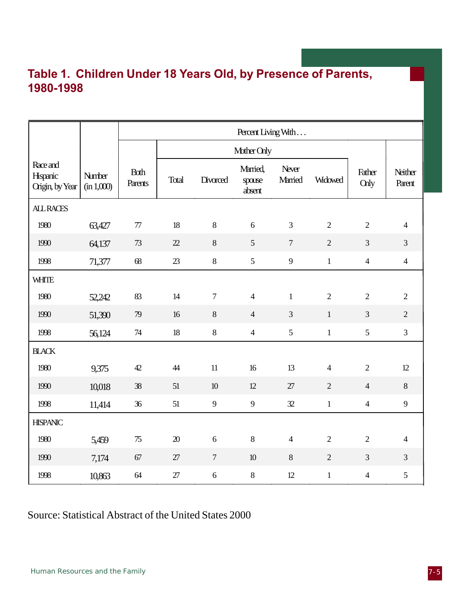### Table 1. Children Under 18 Years Old, by Presence of Parents, 1980-1998

|                                         |                      | Percent Living With    |        |                |                              |                  |                |                       |                   |
|-----------------------------------------|----------------------|------------------------|--------|----------------|------------------------------|------------------|----------------|-----------------------|-------------------|
|                                         |                      |                        |        |                | Mother Only                  |                  |                |                       |                   |
| Race and<br>Hispanic<br>Origin, by Year | Number<br>(in 1,000) | <b>Both</b><br>Parents | Total  | Divorced       | Married,<br>spouse<br>absent | Never<br>Married | <b>Widowed</b> | Father<br><b>Chly</b> | Neither<br>Parent |
| <b>ALL RACES</b>                        |                      |                        |        |                |                              |                  |                |                       |                   |
| 1980                                    | 63,427               | $7\!$                  | 18     | $8\,$          | $\sqrt{6}$                   | $\overline{3}$   | $\overline{2}$ | $\overline{2}$        | $\overline{4}$    |
| 1990                                    | 64,137               | 73                     | 22     | 8              | 5                            | $\overline{7}$   | $\overline{2}$ | $\overline{3}$        | $\overline{3}$    |
| 1998                                    | 71,377               | 68                     | 23     | $8\,$          | 5                            | 9                | $\mathbf{1}$   | $\overline{4}$        | $\overline{4}$    |
| <b>WHITE</b>                            |                      |                        |        |                |                              |                  |                |                       |                   |
| 1980                                    | 52,242               | 83                     | 14     | $\overline{7}$ | $\overline{4}$               | $\mathbf{1}$     | $\overline{2}$ | $\overline{2}$        | $\overline{2}$    |
| 1990                                    | 51,390               | 79                     | 16     | $8\,$          | $\overline{4}$               | 3                | $1\,$          | $\overline{3}$        | $\overline{2}$    |
| 1998                                    | 56,124               | $74$                   | $18\,$ | $8\,$          | $\overline{4}$               | $\mathfrak{S}$   | $\,1$          | 5                     | $\overline{3}$    |
| <b>BLACK</b>                            |                      |                        |        |                |                              |                  |                |                       |                   |
| 1980                                    | 9,375                | 42                     | 44     | 11             | 16                           | 13               | $\overline{4}$ | $\overline{2}$        | 12                |
| 1990                                    | 10,018               | 38                     | 51     | $10$           | 12                           | 27               | $\overline{2}$ | $\overline{4}$        | $8\,$             |
| 1998                                    | 11,414               | 36                     | 51     | 9              | $\overline{9}$               | 32               | $\mathbf{1}$   | $\overline{4}$        | 9                 |
| <b>HISPANIC</b>                         |                      |                        |        |                |                              |                  |                |                       |                   |
| 1980                                    | 5,459                | $75\,$                 | $20\,$ | $\sqrt{6}$     | $\,8\,$                      | $\overline{4}$   | $\overline{2}$ | $\overline{2}$        | $\overline{4}$    |
| 1990                                    | 7,174                | 67                     | 27     | $\tau$         | $10\,$                       | 8                | $\overline{2}$ | $\overline{3}$        | $\overline{3}$    |
| 1998                                    | 10,863               | 64                     | 27     | $\sqrt{6}$     | $8\,$                        | 12               | $\mathbf{1}$   | $\overline{4}$        | 5                 |

### Source: Statistical Abstract of the United States 2000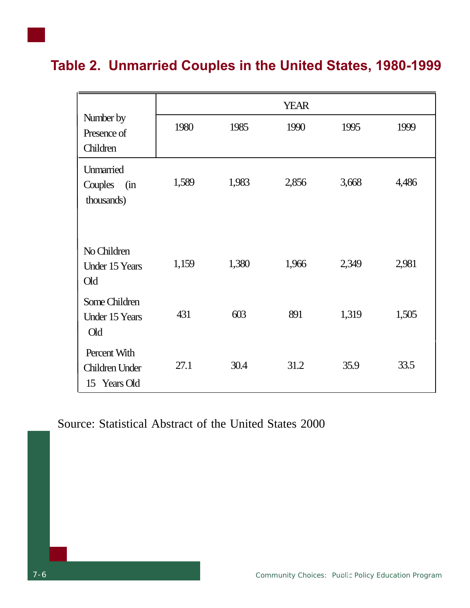### Table 2. Unmarried Couples in the United States, 1980-1999

|                                                |       |       | <b>YEAR</b> |       |       |
|------------------------------------------------|-------|-------|-------------|-------|-------|
| Number by<br>Presence of                       | 1980  | 1985  | 1990        | 1995  | 1999  |
| Children                                       |       |       |             |       |       |
| Unmarried<br>Couples<br>(in<br>thousands)      | 1,589 | 1,983 | 2,856       | 3,668 | 4,486 |
| No Children<br><b>Under 15 Years</b><br>Old    | 1,159 | 1,380 | 1,966       | 2,349 | 2,981 |
| Some Children<br><b>Under 15 Years</b><br>Old  | 431   | 603   | 891         | 1,319 | 1,505 |
| Percent With<br>Children Under<br>15 Years Old | 27.1  | 30.4  | 31.2        | 35.9  | 33.5  |

Source: Statistical Abstract of the United States 2000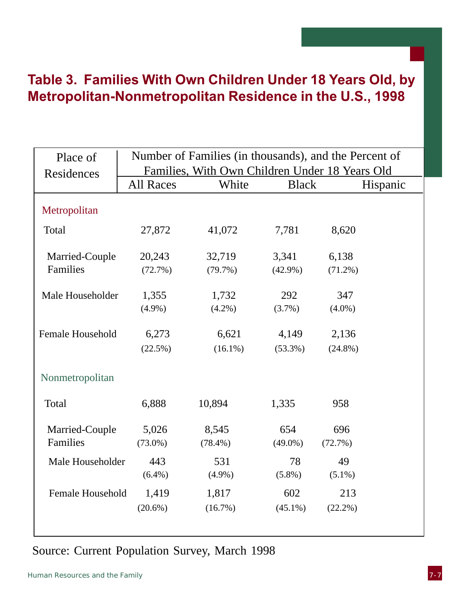### Table 3. Families With Own Children Under 18 Years Old, by Metropolitan-Nonmetropolitan Residence in the U.S., 1998

| Place of                |                  |            |              | Number of Families (in thousands), and the Percent of |
|-------------------------|------------------|------------|--------------|-------------------------------------------------------|
| Residences              |                  |            |              | Families, With Own Children Under 18 Years Old        |
|                         | <b>All Races</b> | White      | <b>Black</b> | Hispanic                                              |
| Metropolitan            |                  |            |              |                                                       |
| Total                   | 27,872           | 41,072     | 7,781        | 8,620                                                 |
| Married-Couple          | 20,243           | 32,719     | 3,341        | 6,138                                                 |
| Families                | (72.7%)          | $(79.7\%)$ | $(42.9\%)$   | $(71.2\%)$                                            |
| Male Householder        | 1,355            | 1,732      | 292          | 347                                                   |
|                         | $(4.9\%)$        | $(4.2\%)$  | $(3.7\%)$    | $(4.0\%)$                                             |
| <b>Female Household</b> | 6,273            | 6,621      | 4,149        | 2,136                                                 |
|                         | $(22.5\%)$       | $(16.1\%)$ | $(53.3\%)$   | $(24.8\%)$                                            |
| Nonmetropolitan         |                  |            |              |                                                       |
| Total                   | 6,888            | 10,894     | 1,335        | 958                                                   |
| Married-Couple          | 5,026            | 8,545      | 654          | 696                                                   |
| Families                | $(73.0\%)$       | $(78.4\%)$ | $(49.0\%)$   | (72.7%)                                               |
| Male Householder        | 443              | 531        | 78           | 49                                                    |
|                         | $(6.4\%)$        | $(4.9\%)$  | $(5.8\%)$    | $(5.1\%)$                                             |
| <b>Female Household</b> | 1,419            | 1,817      | 602          | 213                                                   |
|                         | $(20.6\%)$       | $(16.7\%)$ | $(45.1\%)$   | $(22.2\%)$                                            |
|                         |                  |            |              |                                                       |

### Source: Current Population Survey, March 1998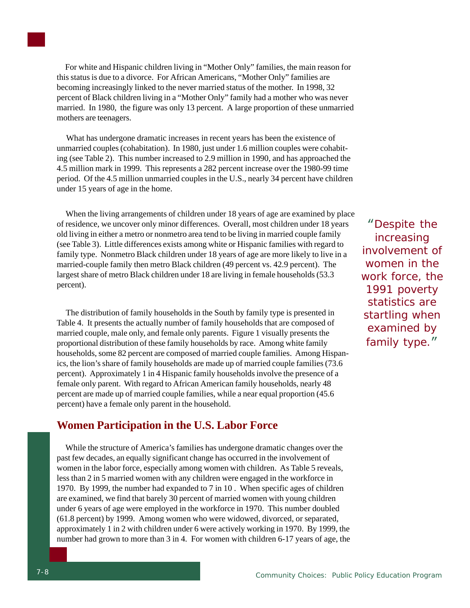For white and Hispanic children living in "Mother Only" families, the main reason for this status is due to a divorce. For African Americans, "Mother Only" families are becoming increasingly linked to the never married status of the mother. In 1998, 32 percent of Black children living in a "Mother Only" family had a mother who was never married. In 1980, the figure was only 13 percent. A large proportion of these unmarried mothers are teenagers.

 What has undergone dramatic increases in recent years has been the existence of unmarried couples (cohabitation). In 1980, just under 1.6 million couples were cohabiting (see Table 2). This number increased to 2.9 million in 1990, and has approached the 4.5 million mark in 1999. This represents a 282 percent increase over the 1980-99 time period. Of the 4.5 million unmarried couples in the U.S., nearly 34 percent have children under 15 years of age in the home.

 When the living arrangements of children under 18 years of age are examined by place of residence, we uncover only minor differences. Overall, most children under 18 years old living in either a metro or nonmetro area tend to be living in married couple family (see Table 3). Little differences exists among white or Hispanic families with regard to family type. Nonmetro Black children under 18 years of age are more likely to live in a married-couple family then metro Black children (49 percent vs. 42.9 percent). The largest share of metro Black children under 18 are living in female households (53.3 percent).

 The distribution of family households in the South by family type is presented in Table 4. It presents the actually number of family households that are composed of married couple, male only, and female only parents. Figure 1 visually presents the proportional distribution of these family households by race. Among white family households, some 82 percent are composed of married couple families. Among Hispanics, the lion's share of family households are made up of married couple families (73.6 percent). Approximately 1 in 4 Hispanic family households involve the presence of a female only parent. With regard to African American family households, nearly 48 percent are made up of married couple families, while a near equal proportion (45.6 percent) have a female only parent in the household.

### **Women Participation in the U.S. Labor Force**

 While the structure of America's families has undergone dramatic changes over the past few decades, an equally significant change has occurred in the involvement of women in the labor force, especially among women with children. As Table 5 reveals, less than 2 in 5 married women with any children were engaged in the workforce in 1970. By 1999, the number had expanded to 7 in 10 . When specific ages of children are examined, we find that barely 30 percent of married women with young children under 6 years of age were employed in the workforce in 1970. This number doubled (61.8 percent) by 1999. Among women who were widowed, divorced, or separated, approximately 1 in 2 with children under 6 were actively working in 1970. By 1999, the number had grown to more than 3 in 4. For women with children 6-17 years of age, the

"Despite the increasing involvement of women in the work force, the 1991 poverty statistics are startling when examined by family type."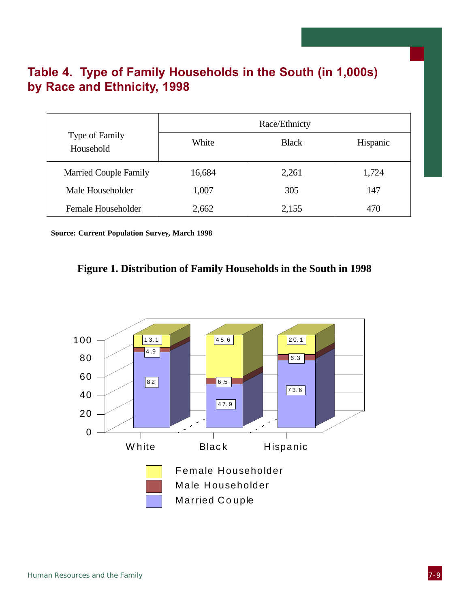### Table 4. Type of Family Households in the South (in 1,000s) by Race and Ethnicity, 1998

|                              |        | Race/Ethnicty |          |
|------------------------------|--------|---------------|----------|
| Type of Family<br>Household  | White  | <b>Black</b>  | Hispanic |
| <b>Married Couple Family</b> | 16,684 | 2,261         | 1,724    |
| Male Householder             | 1,007  | 305           | 147      |
| Female Householder           | 2,662  | 2,155         | 470      |

 **Source: Current Population Survey, March 1998**



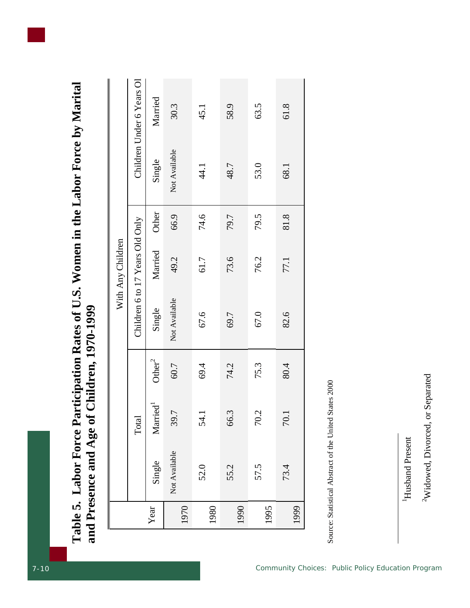| e Participation Rates of U.S. Women in the Labor Force by Marital |                        |
|-------------------------------------------------------------------|------------------------|
| 1                                                                 | of Children, 1970-1999 |
| l'able 5. Labor Force                                             | ad Presence and Age or |

|      |               |                         |                    |                                 | With Any Children |       |               |                           |
|------|---------------|-------------------------|--------------------|---------------------------------|-------------------|-------|---------------|---------------------------|
|      |               | Total                   |                    | Children 6 to 17 Years Old Only |                   |       |               | Children Under 6 Years Ol |
| Year | Single        | $M$ arried <sup>1</sup> | Other <sup>2</sup> | Single                          | Married           | Other | Single        | Married                   |
| 1970 | Not Available | 39.7                    | 60.7               | Not Available                   | 49.2              | 66.9  | Not Available | 30.3                      |
| 1980 | 52.0          | 54.1                    | 69.4               | 67.6                            | 61.7              | 74.6  | 44.1          | 45.1                      |
| 1990 | 55.2          | $\dot{\omega}$<br>66.   | 74.2               | 69.7                            | 73.6              | 79.7  | 48.7          | 58.9                      |
| 1995 | 57.5          | 70.2                    | 75.3               | 67.0                            | 76.2              | 79.5  | 53.0          | 63.5                      |
| 1999 | 73.4          | $\Box$<br>$\mathcal{L}$ | 80.4               | 82.6                            | 77.1              | 81.8  | 68.1          | 61.8                      |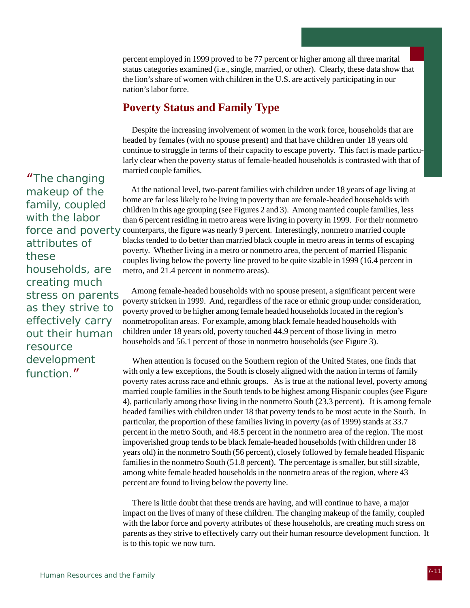percent employed in 1999 proved to be 77 percent or higher among all three marital status categories examined (i.e., single, married, or other). Clearly, these data show that the lion's share of women with children in the U.S. are actively participating in our nation's labor force.

### **Poverty Status and Family Type**

 Despite the increasing involvement of women in the work force, households that are headed by females (with no spouse present) and that have children under 18 years old continue to struggle in terms of their capacity to escape poverty. This fact is made particularly clear when the poverty status of female-headed households is contrasted with that of married couple families.

force and poverty counterparts, the figure was nearly 9 percent. Interestingly, nonmetro married couple At the national level, two-parent families with children under 18 years of age living at home are far less likely to be living in poverty than are female-headed households with children in this age grouping (see Figures 2 and 3). Among married couple families, less than 6 percent residing in metro areas were living in poverty in 1999. For their nonmetro blacks tended to do better than married black couple in metro areas in terms of escaping poverty. Whether living in a metro or nonmetro area, the percent of married Hispanic couples living below the poverty line proved to be quite sizable in 1999 (16.4 percent in metro, and 21.4 percent in nonmetro areas).

> Among female-headed households with no spouse present, a significant percent were poverty stricken in 1999. And, regardless of the race or ethnic group under consideration, poverty proved to be higher among female headed households located in the region's nonmetropolitan areas. For example, among black female headed households with children under 18 years old, poverty touched 44.9 percent of those living in metro households and 56.1 percent of those in nonmetro households (see Figure 3).

 When attention is focused on the Southern region of the United States, one finds that with only a few exceptions, the South is closely aligned with the nation in terms of family poverty rates across race and ethnic groups. As is true at the national level, poverty among married couple families in the South tends to be highest among Hispanic couples (see Figure 4), particularly among those living in the nonmetro South (23.3 percent). It is among female headed families with children under 18 that poverty tends to be most acute in the South. In particular, the proportion of these families living in poverty (as of 1999) stands at 33.7 percent in the metro South, and 48.5 percent in the nonmetro area of the region. The most impoverished group tends to be black female-headed households (with children under 18 years old) in the nonmetro South (56 percent), closely followed by female headed Hispanic families in the nonmetro South (51.8 percent). The percentage is smaller, but still sizable, among white female headed households in the nonmetro areas of the region, where 43 percent are found to living below the poverty line.

parents as they strive to effectively carry out their human resource development function. It There is little doubt that these trends are having, and will continue to have, a major impact on the lives of many of these children. The changing makeup of the family, coupled with the labor force and poverty attributes of these households, are creating much stress on is to this topic we now turn.

"The changing makeup of the family, coupled with the labor attributes of these households, are creating much stress on parents as they strive to effectively carry out their human resource development function."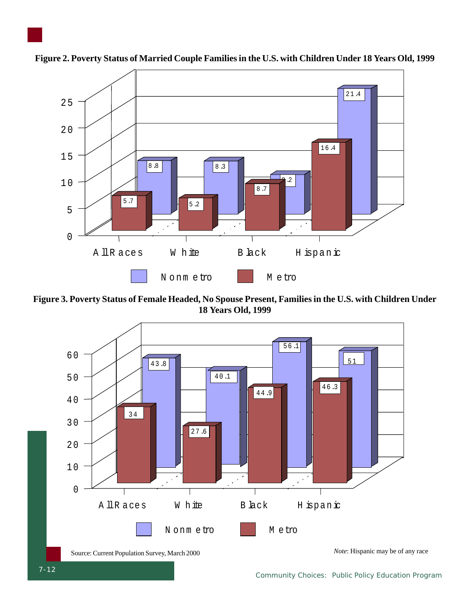

**Figure 2. Poverty Status of Married Couple Families in the U.S. with Children Under 18 Years Old, 1999**

**Figure 3. Poverty Status of Female Headed, No Spouse Present, Families in the U.S. with Children Under 18 Years Old, 1999**



*Community Choices: Public Policy Education Program*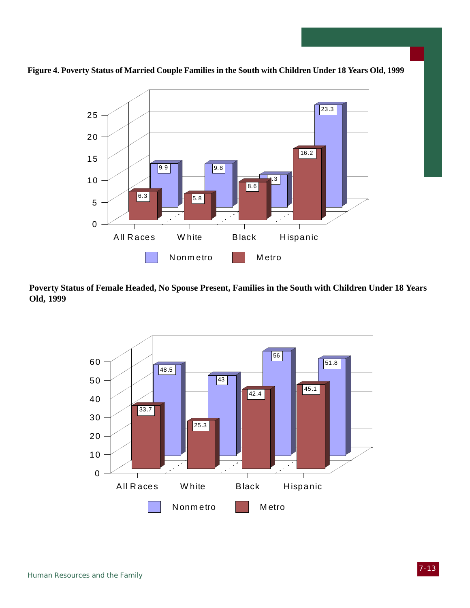

**Figure 4. Poverty Status of Married Couple Families in the South with Children Under 18 Years Old, 1999**

**Poverty Status of Female Headed, No Spouse Present, Families in the South with Children Under 18 Years Old, 1999**

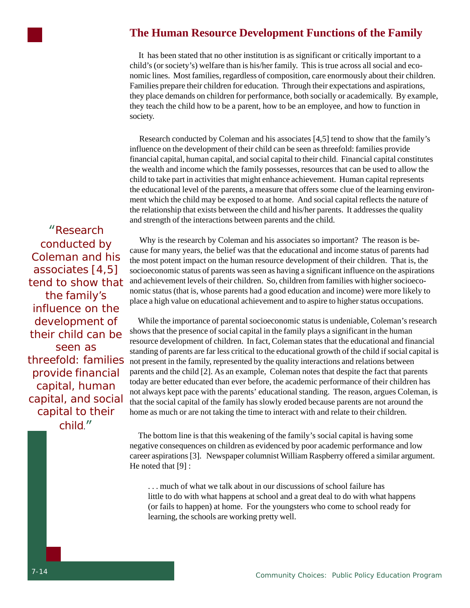

### **The Human Resource Development Functions of the Family**

 It has been stated that no other institution is as significant or critically important to a child's (or society's) welfare than is his/her family. This is true across all social and economic lines. Most families, regardless of composition, care enormously about their children. Families prepare their children for education. Through their expectations and aspirations, they place demands on children for performance, both socially or academically. By example, they teach the child how to be a parent, how to be an employee, and how to function in society.

 Research conducted by Coleman and his associates [4,5] tend to show that the family's influence on the development of their child can be seen as threefold: families provide financial capital, human capital, and social capital to their child. Financial capital constitutes the wealth and income which the family possesses, resources that can be used to allow the child to take part in activities that might enhance achievement. Human capital represents the educational level of the parents, a measure that offers some clue of the learning environment which the child may be exposed to at home. And social capital reflects the nature of the relationship that exists between the child and his/her parents. It addresses the quality and strength of the interactions between parents and the child.

"Research conducted by Coleman and his associates [4,5] tend to show that the family's influence on the development of their child can be seen as threefold: families provide financial capital, human capital, and social capital to their child."

 Why is the research by Coleman and his associates so important? The reason is because for many years, the belief was that the educational and income status of parents had the most potent impact on the human resource development of their children. That is, the socioeconomic status of parents was seen as having a significant influence on the aspirations and achievement levels of their children. So, children from families with higher socioeconomic status (that is, whose parents had a good education and income) were more likely to place a high value on educational achievement and to aspire to higher status occupations.

 While the importance of parental socioeconomic status is undeniable, Coleman's research shows that the presence of social capital in the family plays a significant in the human resource development of children. In fact, Coleman states that the educational and financial standing of parents are far less critical to the educational growth of the child if social capital is not present in the family, represented by the quality interactions and relations between parents and the child [2]. As an example, Coleman notes that despite the fact that parents today are better educated than ever before, the academic performance of their children has not always kept pace with the parents' educational standing. The reason, argues Coleman, is that the social capital of the family has slowly eroded because parents are not around the home as much or are not taking the time to interact with and relate to their children.

 The bottom line is that this weakening of the family's social capital is having some negative consequences on children as evidenced by poor academic performance and low career aspirations [3]. Newspaper columnist William Raspberry offered a similar argument. He noted that [9] :

. . . much of what we talk about in our discussions of school failure has little to do with what happens at school and a great deal to do with what happens (or fails to happen) at home. For the youngsters who come to school ready for learning, the schools are working pretty well.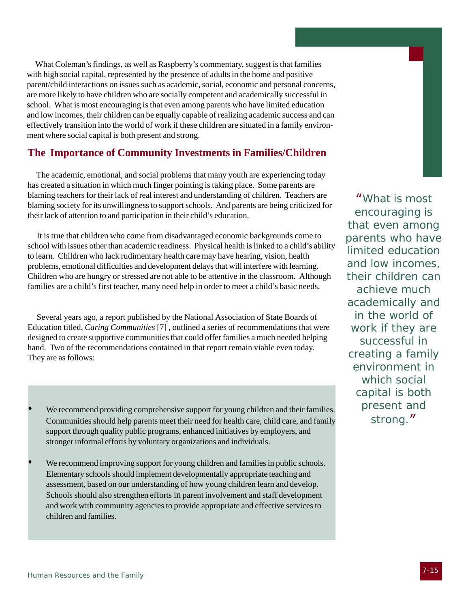What Coleman's findings, as well as Raspberry's commentary, suggest is that families with high social capital, represented by the presence of adults in the home and positive parent/child interactions on issues such as academic, social, economic and personal concerns, are more likely to have children who are socially competent and academically successful in school. What is most encouraging is that even among parents who have limited education and low incomes, their children can be equally capable of realizing academic success and can effectively transition into the world of work if these children are situated in a family environment where social capital is both present and strong.

### **The Importance of Community Investments in Families/Children**

 The academic, emotional, and social problems that many youth are experiencing today has created a situation in which much finger pointing is taking place. Some parents are blaming teachers for their lack of real interest and understanding of children. Teachers are blaming society for its unwillingness to support schools. And parents are being criticized for their lack of attention to and participation in their child's education.

 It is true that children who come from disadvantaged economic backgrounds come to school with issues other than academic readiness. Physical health is linked to a child's ability to learn. Children who lack rudimentary health care may have hearing, vision, health problems, emotional difficulties and development delays that will interfere with learning. Children who are hungry or stressed are not able to be attentive in the classroom. Although families are a child's first teacher, many need help in order to meet a child's basic needs.

 Several years ago, a report published by the National Association of State Boards of Education titled, *Caring Communities* [7] , outlined a series of recommendations that were designed to create supportive communities that could offer families a much needed helping hand. Two of the recommendations contained in that report remain viable even today. They are as follows:

- We recommend providing comprehensive support for young children and their families. Communities should help parents meet their need for health care, child care, and family support through quality public programs, enhanced initiatives by employers, and stronger informal efforts by voluntary organizations and individuals.
- We recommend improving support for young children and families in public schools. Elementary schools should implement developmentally appropriate teaching and assessment, based on our understanding of how young children learn and develop. Schools should also strengthen efforts in parent involvement and staff development and work with community agencies to provide appropriate and effective services to children and families.

"What is most encouraging is that even among parents who have limited education and low incomes, their children can achieve much academically and in the world of work if they are successful in creating a family environment in which social capital is both present and strong."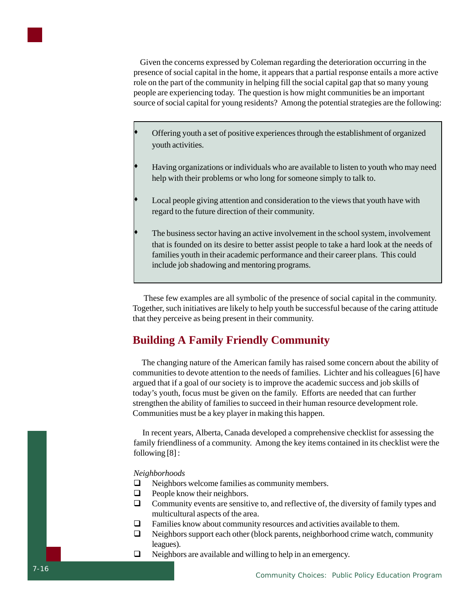

 Given the concerns expressed by Coleman regarding the deterioration occurring in the presence of social capital in the home, it appears that a partial response entails a more active role on the part of the community in helping fill the social capital gap that so many young people are experiencing today. The question is how might communities be an important source of social capital for young residents? Among the potential strategies are the following:

- Offering youth a set of positive experiences through the establishment of organized youth activities.
- Having organizations or individuals who are available to listen to youth who may need help with their problems or who long for someone simply to talk to.
- Local people giving attention and consideration to the views that youth have with regard to the future direction of their community.
- The business sector having an active involvement in the school system, involvement that is founded on its desire to better assist people to take a hard look at the needs of families youth in their academic performance and their career plans. This could include job shadowing and mentoring programs.

 These few examples are all symbolic of the presence of social capital in the community. Together, such initiatives are likely to help youth be successful because of the caring attitude that they perceive as being present in their community.

### **Building A Family Friendly Community**

 The changing nature of the American family has raised some concern about the ability of communities to devote attention to the needs of families. Lichter and his colleagues [6] have argued that if a goal of our society is to improve the academic success and job skills of today's youth, focus must be given on the family. Efforts are needed that can further strengthen the ability of families to succeed in their human resource development role. Communities must be a key player in making this happen.

 In recent years, Alberta, Canada developed a comprehensive checklist for assessing the family friendliness of a community. Among the key items contained in its checklist were the following [8] :

*Neighborhoods*

- $\Box$  Neighbors welcome families as community members.
- $\Box$  People know their neighbors.
- $\Box$  Community events are sensitive to, and reflective of, the diversity of family types and multicultural aspects of the area.
- $\Box$  Families know about community resources and activities available to them.
- $\Box$  Neighbors support each other (block parents, neighborhood crime watch, community leagues).
- $\Box$  Neighbors are available and willing to help in an emergency.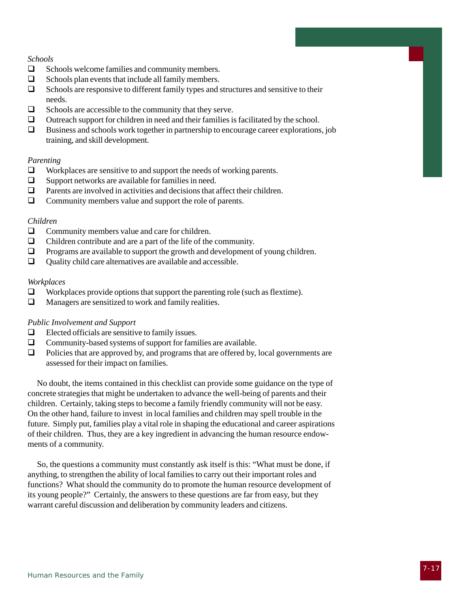#### *Schools*

- $\Box$  Schools welcome families and community members.
- $\Box$  Schools plan events that include all family members.
- $\Box$  Schools are responsive to different family types and structures and sensitive to their needs.
- $\Box$  Schools are accessible to the community that they serve.<br> $\Box$  Outreach support for children in need and their families is
- Outreach support for children in need and their families is facilitated by the school.
- $\Box$  Business and schools work together in partnership to encourage career explorations, job training, and skill development.

#### *Parenting*

- $\Box$  Workplaces are sensitive to and support the needs of working parents.
- $\Box$  Support networks are available for families in need.
- $\Box$  Parents are involved in activities and decisions that affect their children.
- $\Box$  Community members value and support the role of parents.

#### *Children*

- $\Box$  Community members value and care for children.
- $\Box$  Children contribute and are a part of the life of the community.
- $\Box$  Programs are available to support the growth and development of young children.
- $\Box$  Quality child care alternatives are available and accessible.

#### *Workplaces*

- $\Box$  Workplaces provide options that support the parenting role (such as flextime).
- $\Box$  Managers are sensitized to work and family realities.

#### *Public Involvement and Support*

- $\Box$  Elected officials are sensitive to family issues.
- $\Box$  Community-based systems of support for families are available.
- $\Box$  Policies that are approved by, and programs that are offered by, local governments are assessed for their impact on families.

 No doubt, the items contained in this checklist can provide some guidance on the type of concrete strategies that might be undertaken to advance the well-being of parents and their children. Certainly, taking steps to become a family friendly community will not be easy. On the other hand, failure to invest in local families and children may spell trouble in the future. Simply put, families play a vital role in shaping the educational and career aspirations of their children. Thus, they are a key ingredient in advancing the human resource endowments of a community.

 So, the questions a community must constantly ask itself is this: "What must be done, if anything, to strengthen the ability of local families to carry out their important roles and functions? What should the community do to promote the human resource development of its young people?" Certainly, the answers to these questions are far from easy, but they warrant careful discussion and deliberation by community leaders and citizens.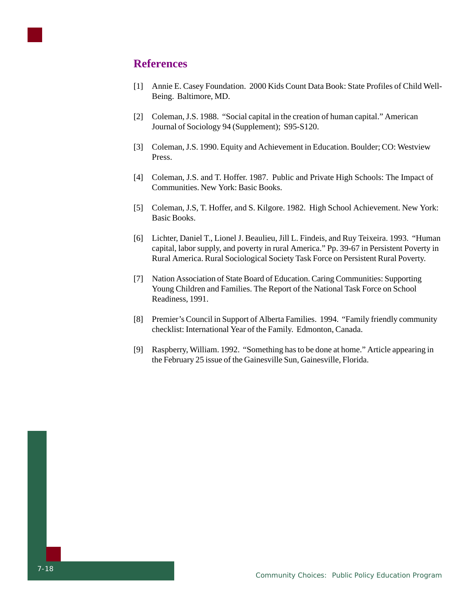

### **References**

- [1] Annie E. Casey Foundation. 2000 Kids Count Data Book: State Profiles of Child Well-Being. Baltimore, MD.
- [2] Coleman, J.S. 1988. "Social capital in the creation of human capital." American Journal of Sociology 94 (Supplement); S95-S120.
- [3] Coleman, J.S. 1990. Equity and Achievement in Education. Boulder; CO: Westview Press.
- [4] Coleman, J.S. and T. Hoffer. 1987. Public and Private High Schools: The Impact of Communities. New York: Basic Books.
- [5] Coleman, J.S, T. Hoffer, and S. Kilgore. 1982. High School Achievement. New York: Basic Books.
- [6] Lichter, Daniel T., Lionel J. Beaulieu, Jill L. Findeis, and Ruy Teixeira. 1993. "Human capital, labor supply, and poverty in rural America." Pp. 39-67 in Persistent Poverty in Rural America. Rural Sociological Society Task Force on Persistent Rural Poverty.
- [7] Nation Association of State Board of Education. Caring Communities: Supporting Young Children and Families. The Report of the National Task Force on School Readiness, 1991.
- [8] Premier's Council in Support of Alberta Families. 1994. "Family friendly community checklist: International Year of the Family. Edmonton, Canada.
- [9] Raspberry, William. 1992. "Something has to be done at home." Article appearing in the February 25 issue of the Gainesville Sun, Gainesville, Florida.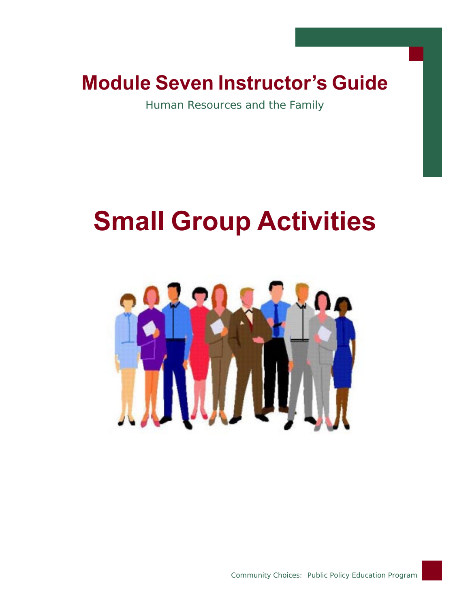# Module Seven Instructor's Guide

Human Resources and the Family

# Small Group Activities



7-19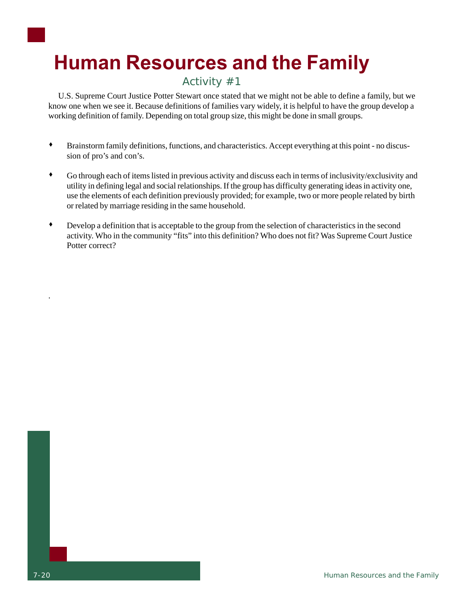# Human Resources and the Family

### Activity #1

 U.S. Supreme Court Justice Potter Stewart once stated that we might not be able to define a family, but we know one when we see it. Because definitions of families vary widely, it is helpful to have the group develop a working definition of family. Depending on total group size, this might be done in small groups.

- Brainstorm family definitions, functions, and characteristics. Accept everything at this point no discussion of pro's and con's.
- Go through each of items listed in previous activity and discuss each in terms of inclusivity/exclusivity and utility in defining legal and social relationships. If the group has difficulty generating ideas in activity one, use the elements of each definition previously provided; for example, two or more people related by birth or related by marriage residing in the same household.
- Develop a definition that is acceptable to the group from the selection of characteristics in the second activity. Who in the community "fits" into this definition? Who does not fit? Was Supreme Court Justice Potter correct?

.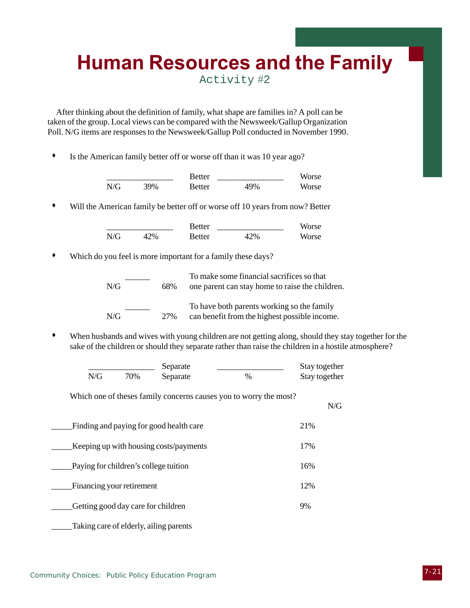# Human Resources and the Family

Activity #2

 After thinking about the definition of family, what shape are families in? A poll can be taken of the group. Local views can be compared with the Newsweek/Gallup Organization Poll. N/G items are responses to the Newsweek/Gallup Poll conducted in November 1990.

Is the American family better off or worse off than it was 10 year ago?

|     |     | Better |     | Worse |
|-----|-----|--------|-----|-------|
| N/G | 39% | Better | 49% | Worse |

Will the American family be better off or worse off 10 years from now? Better

|     |     | <b>Better</b> |     | Worse |
|-----|-----|---------------|-----|-------|
| N/G | 42% | Better        | 42% | Worse |

Which do you feel is more important for a family these days?

| N/G | 68%  | To make some financial sacrifices so that<br>one parent can stay home to raise the children. |
|-----|------|----------------------------------------------------------------------------------------------|
| N/G | 2.7% | To have both parents working so the family<br>can benefit from the highest possible income.  |

 When husbands and wives with young children are not getting along, should they stay together for the sake of the children or should they separate rather than raise the children in a hostile atmosphere?

N/G

|     |     | Separate |      | Stay together |
|-----|-----|----------|------|---------------|
| N/G | 70% | Separate | $\%$ | Stay together |

Which one of theses family concerns causes you to worry the most?

| Finding and paying for good health care | 21% |
|-----------------------------------------|-----|
| Keeping up with housing costs/payments  | 17% |
| Paying for children's college tuition   | 16% |
| Financing your retirement               | 12% |
| Getting good day care for children      | 9%  |
| Taking care of elderly, ailing parents  |     |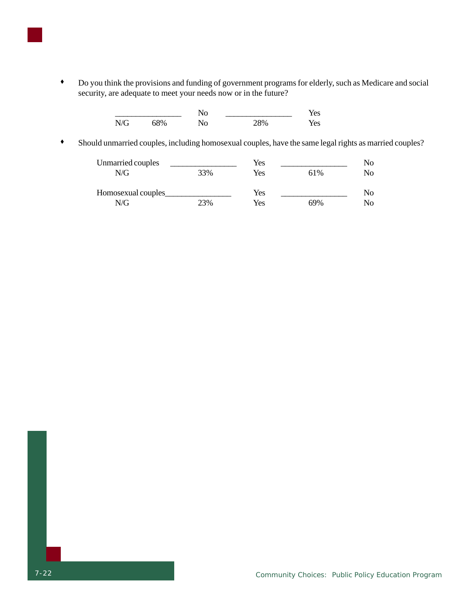

|     |     | No |     | Yes |  |
|-----|-----|----|-----|-----|--|
| N/G | 68% | No | 28% | Yes |  |

Should unmarried couples, including homosexual couples, have the same legal rights as married couples?

| Unmarried couples  |     | Yes |     | No  |
|--------------------|-----|-----|-----|-----|
| N/G                | 33% | Yes | 61% | No  |
| Homosexual couples |     | Yes |     | No. |
| N/G                | 23% | Yes | 69% | No  |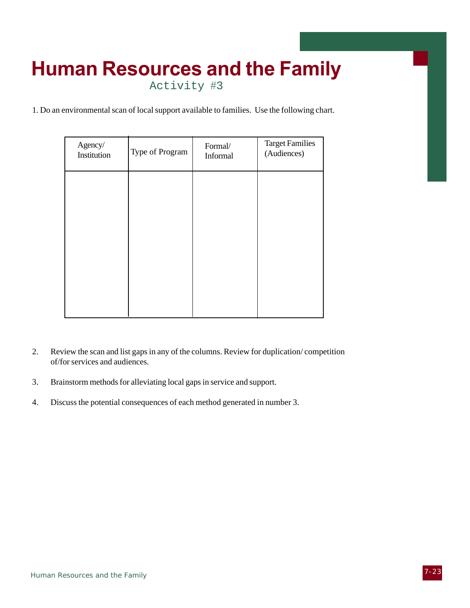## Human Resources and the Family Activity #3

1. Do an environmental scan of local support available to families. Use the following chart.

| Agency/<br>Institution | Type of Program | Formal/<br>Informal | <b>Target Families</b><br>(Audiences) |
|------------------------|-----------------|---------------------|---------------------------------------|
|                        |                 |                     |                                       |
|                        |                 |                     |                                       |
|                        |                 |                     |                                       |
|                        |                 |                     |                                       |
|                        |                 |                     |                                       |

- 2. Review the scan and list gaps in any of the columns. Review for duplication/ competition of/for services and audiences.
- 3. Brainstorm methods for alleviating local gaps in service and support.
- 4. Discuss the potential consequences of each method generated in number 3.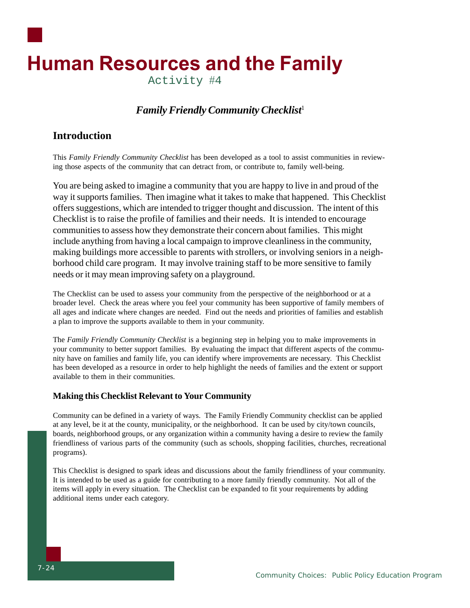

### *Family Friendly Community Checklist*<sup>1</sup>

### **Introduction**

This *Family Friendly Community Checklist* has been developed as a tool to assist communities in reviewing those aspects of the community that can detract from, or contribute to, family well-being.

You are being asked to imagine a community that you are happy to live in and proud of the way it supports families. Then imagine what it takes to make that happened. This Checklist offers suggestions, which are intended to trigger thought and discussion. The intent of this Checklist is to raise the profile of families and their needs. It is intended to encourage communities to assess how they demonstrate their concern about families. This might include anything from having a local campaign to improve cleanliness in the community, making buildings more accessible to parents with strollers, or involving seniors in a neighborhood child care program. It may involve training staff to be more sensitive to family needs or it may mean improving safety on a playground.

The Checklist can be used to assess your community from the perspective of the neighborhood or at a broader level. Check the areas where you feel your community has been supportive of family members of all ages and indicate where changes are needed. Find out the needs and priorities of families and establish a plan to improve the supports available to them in your community.

The *Family Friendly Community Checklist* is a beginning step in helping you to make improvements in your community to better support families. By evaluating the impact that different aspects of the community have on families and family life, you can identify where improvements are necessary. This Checklist has been developed as a resource in order to help highlight the needs of families and the extent or support available to them in their communities.

#### **Making this Checklist Relevant to Your Community**

Community can be defined in a variety of ways. The Family Friendly Community checklist can be applied at any level, be it at the county, municipality, or the neighborhood. It can be used by city/town councils, boards, neighborhood groups, or any organization within a community having a desire to review the family friendliness of various parts of the community (such as schools, shopping facilities, churches, recreational programs).

This Checklist is designed to spark ideas and discussions about the family friendliness of your community. It is intended to be used as a guide for contributing to a more family friendly community. Not all of the items will apply in every situation. The Checklist can be expanded to fit your requirements by adding additional items under each category.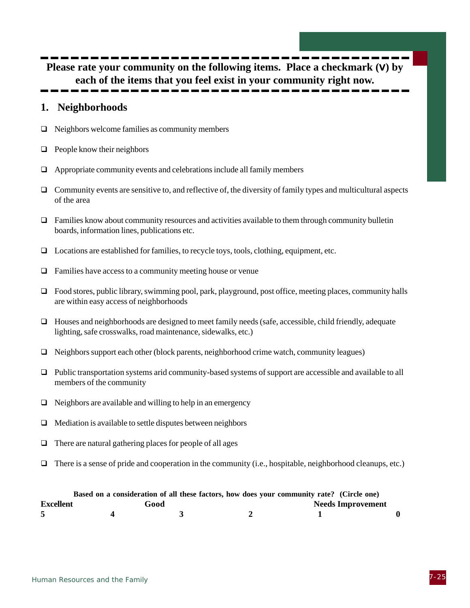**Please rate your community on the following items. Place a checkmark (**v**) by each of the items that you feel exist in your community right now.**

### **1. Neighborhoods**

- $\Box$  Neighbors welcome families as community members
- $\Box$  People know their neighbors
- $\Box$  Appropriate community events and celebrations include all family members
- $\Box$  Community events are sensitive to, and reflective of, the diversity of family types and multicultural aspects of the area
- $\Box$  Families know about community resources and activities available to them through community bulletin boards, information lines, publications etc.
- $\Box$  Locations are established for families, to recycle toys, tools, clothing, equipment, etc.
- $\Box$  Families have access to a community meeting house or venue
- □ Food stores, public library, swimming pool, park, playground, post office, meeting places, community halls are within easy access of neighborhoods
- $\Box$  Houses and neighborhoods are designed to meet family needs (safe, accessible, child friendly, adequate lighting, safe crosswalks, road maintenance, sidewalks, etc.)
- $\Box$  Neighbors support each other (block parents, neighborhood crime watch, community leagues)
- $\Box$  Public transportation systems arid community-based systems of support are accessible and available to all members of the community
- $\Box$  Neighbors are available and willing to help in an emergency
- $\Box$  Mediation is available to settle disputes between neighbors
- $\Box$  There are natural gathering places for people of all ages
- $\Box$  There is a sense of pride and cooperation in the community (i.e., hospitable, neighborhood cleanups, etc.)

|           | Based on a consideration of all these factors, how does your community rate? (Circle one) |  |                          |  |
|-----------|-------------------------------------------------------------------------------------------|--|--------------------------|--|
| Excellent | Good                                                                                      |  | <b>Needs Improvement</b> |  |
|           |                                                                                           |  |                          |  |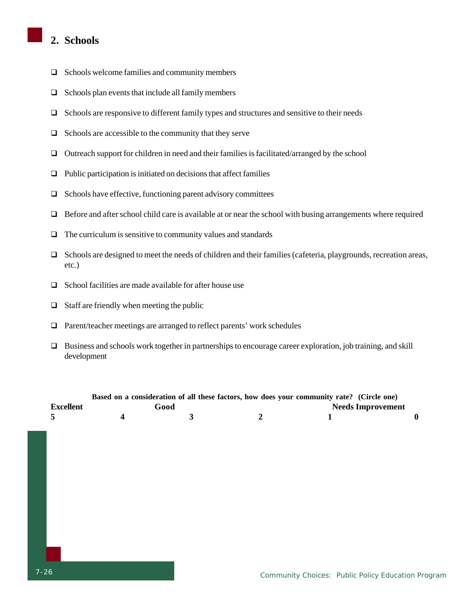### **2. Schools**

- $\Box$  Schools welcome families and community members
- $\Box$  Schools plan events that include all family members
- $\Box$  Schools are responsive to different family types and structures and sensitive to their needs
- $\Box$  Schools are accessible to the community that they serve
- $\Box$  Outreach support for children in need and their families is facilitated/arranged by the school
- $\Box$  Public participation is initiated on decisions that affect families
- $\Box$  Schools have effective, functioning parent advisory committees
- Before and after school child care is available at or near the school with busing arrangements where required
- $\Box$  The curriculum is sensitive to community values and standards
- $\Box$  Schools are designed to meet the needs of children and their families (cafeteria, playgrounds, recreation areas, etc.)
- $\Box$  School facilities are made available for after house use
- $\Box$  Staff are friendly when meeting the public
- $\Box$  Parent/teacher meetings are arranged to reflect parents' work schedules
- Business and schools work together in partnerships to encourage career exploration, job training, and skill development

|                  |      | Based on a consideration of all these factors, how does your community rate? (Circle one) |  |
|------------------|------|-------------------------------------------------------------------------------------------|--|
| <b>Excellent</b> | Good | <b>Needs Improvement</b>                                                                  |  |
|                  |      |                                                                                           |  |
|                  |      |                                                                                           |  |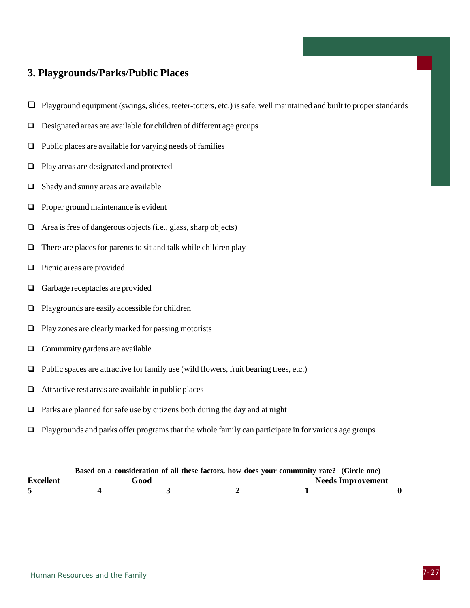### **3. Playgrounds/Parks/Public Places**

- $\Box$  Playground equipment (swings, slides, teeter-totters, etc.) is safe, well maintained and built to proper standards
- Designated areas are available for children of different age groups
- $\Box$  Public places are available for varying needs of families
- □ Play areas are designated and protected
- $\Box$  Shady and sunny areas are available
- $\Box$  Proper ground maintenance is evident
- $\Box$  Area is free of dangerous objects (i.e., glass, sharp objects)
- $\Box$  There are places for parents to sit and talk while children play
- $\Box$  Picnic areas are provided
- □ Garbage receptacles are provided
- $\Box$  Playgrounds are easily accessible for children
- $\Box$  Play zones are clearly marked for passing motorists
- $\Box$  Community gardens are available
- $\Box$  Public spaces are attractive for family use (wild flowers, fruit bearing trees, etc.)
- $\Box$  Attractive rest areas are available in public places
- $\Box$  Parks are planned for safe use by citizens both during the day and at night
- $\Box$  Playgrounds and parks offer programs that the whole family can participate in for various age groups

|                  |      | Based on a consideration of all these factors, how does your community rate? (Circle one) |                          |  |
|------------------|------|-------------------------------------------------------------------------------------------|--------------------------|--|
| <b>Excellent</b> | Good |                                                                                           | <b>Needs Improvement</b> |  |
|                  |      |                                                                                           |                          |  |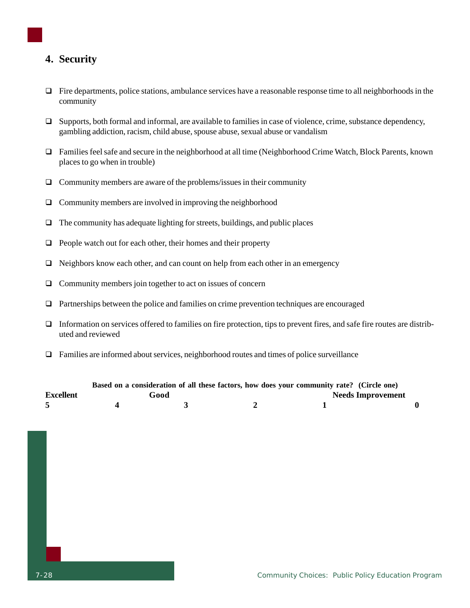### **4. Security**

- $\Box$  Fire departments, police stations, ambulance services have a reasonable response time to all neighborhoods in the community
- $\Box$  Supports, both formal and informal, are available to families in case of violence, crime, substance dependency, gambling addiction, racism, child abuse, spouse abuse, sexual abuse or vandalism
- Families feel safe and secure in the neighborhood at all time (Neighborhood Crime Watch, Block Parents, known places to go when in trouble)
- $\Box$  Community members are aware of the problems/issues in their community
- $\Box$  Community members are involved in improving the neighborhood
- $\Box$  The community has adequate lighting for streets, buildings, and public places
- $\Box$  People watch out for each other, their homes and their property
- $\Box$  Neighbors know each other, and can count on help from each other in an emergency
- $\Box$  Community members join together to act on issues of concern
- $\Box$  Partnerships between the police and families on crime prevention techniques are encouraged
- $\Box$  Information on services offered to families on fire protection, tips to prevent fires, and safe fire routes are distributed and reviewed
- $\Box$  Families are informed about services, neighborhood routes and times of police surveillance

|           |      | Based on a consideration of all these factors, how does your community rate? (Circle one) |                          |  |
|-----------|------|-------------------------------------------------------------------------------------------|--------------------------|--|
| Excellent | Good |                                                                                           | <b>Needs Improvement</b> |  |
|           |      |                                                                                           |                          |  |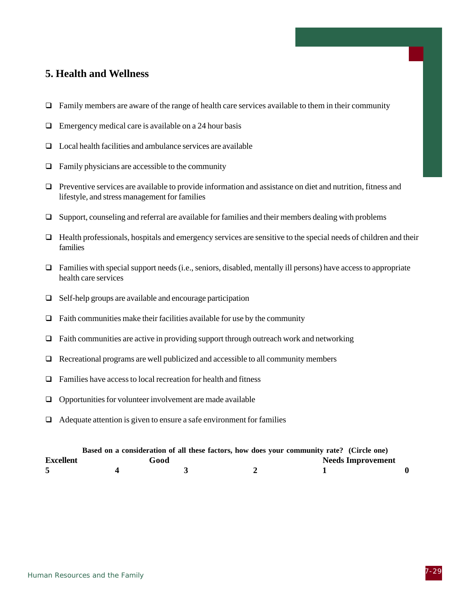### **5. Health and Wellness**

- $\Box$  Family members are aware of the range of health care services available to them in their community
- $\Box$  Emergency medical care is available on a 24 hour basis
- $\Box$  Local health facilities and ambulance services are available
- $\Box$  Family physicians are accessible to the community
- $\Box$  Preventive services are available to provide information and assistance on diet and nutrition, fitness and lifestyle, and stress management for families
- $\Box$  Support, counseling and referral are available for families and their members dealing with problems
- $\Box$  Health professionals, hospitals and emergency services are sensitive to the special needs of children and their families
- $\Box$  Families with special support needs (i.e., seniors, disabled, mentally ill persons) have access to appropriate health care services
- $\Box$  Self-help groups are available and encourage participation
- $\Box$  Faith communities make their facilities available for use by the community
- $\Box$  Faith communities are active in providing support through outreach work and networking
- $\Box$  Recreational programs are well publicized and accessible to all community members
- $\Box$  Families have access to local recreation for health and fitness
- $\Box$  Opportunities for volunteer involvement are made available
- $\Box$  Adequate attention is given to ensure a safe environment for families

|                  | Based on a consideration of all these factors, how does your community rate? (Circle one) |  |                          |  |
|------------------|-------------------------------------------------------------------------------------------|--|--------------------------|--|
| <b>Excellent</b> | Good                                                                                      |  | <b>Needs Improvement</b> |  |
|                  |                                                                                           |  |                          |  |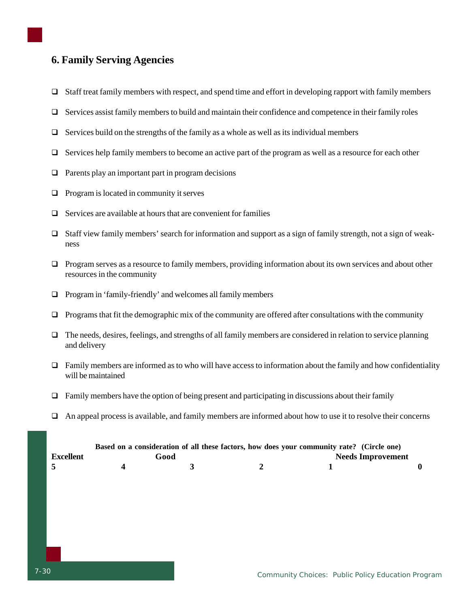### **6. Family Serving Agencies**

- $\Box$  Staff treat family members with respect, and spend time and effort in developing rapport with family members
- $\Box$  Services assist family members to build and maintain their confidence and competence in their family roles
- $\Box$  Services build on the strengths of the family as a whole as well as its individual members
- $\Box$  Services help family members to become an active part of the program as well as a resource for each other
- $\Box$  Parents play an important part in program decisions
- $\Box$  Program is located in community it serves
- $\Box$  Services are available at hours that are convenient for families
- Staff view family members' search for information and support as a sign of family strength, not a sign of weakness
- Program serves as a resource to family members, providing information about its own services and about other resources in the community
- $\Box$  Program in 'family-friendly' and welcomes all family members
- $\Box$  Programs that fit the demographic mix of the community are offered after consultations with the community
- $\Box$  The needs, desires, feelings, and strengths of all family members are considered in relation to service planning and delivery
- $\Box$  Family members are informed as to who will have access to information about the family and how confidentiality will be maintained
- $\Box$  Family members have the option of being present and participating in discussions about their family
- $\Box$  An appeal process is available, and family members are informed about how to use it to resolve their concerns

|                  |      | Based on a consideration of all these factors, how does your community rate? (Circle one) |  |
|------------------|------|-------------------------------------------------------------------------------------------|--|
| <b>Excellent</b> | Good | <b>Needs Improvement</b>                                                                  |  |
|                  |      |                                                                                           |  |
|                  |      |                                                                                           |  |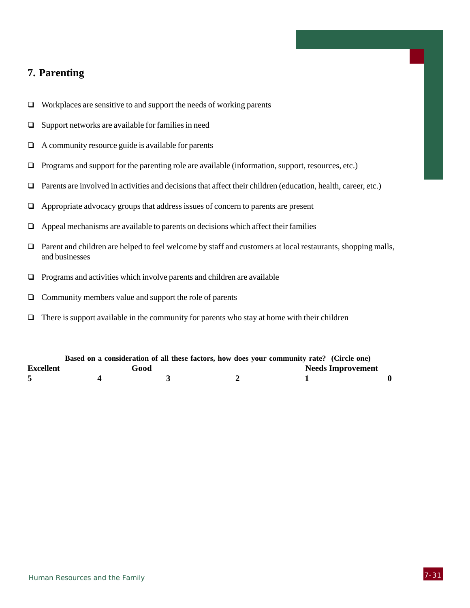### **7. Parenting**

- $\Box$  Workplaces are sensitive to and support the needs of working parents
- $\Box$  Support networks are available for families in need
- $\Box$  A community resource guide is available for parents
- $\Box$  Programs and support for the parenting role are available (information, support, resources, etc.)
- Parents are involved in activities and decisions that affect their children (education, health, career, etc.)
- Appropriate advocacy groups that address issues of concern to parents are present
- $\Box$  Appeal mechanisms are available to parents on decisions which affect their families
- Parent and children are helped to feel welcome by staff and customers at local restaurants, shopping malls, and businesses
- $\Box$  Programs and activities which involve parents and children are available
- $\Box$  Community members value and support the role of parents
- $\Box$  There is support available in the community for parents who stay at home with their children

|                  |      |  | Based on a consideration of all these factors, how does your community rate? (Circle one) |  |
|------------------|------|--|-------------------------------------------------------------------------------------------|--|
| <b>Excellent</b> | Good |  | <b>Needs Improvement</b>                                                                  |  |
|                  |      |  |                                                                                           |  |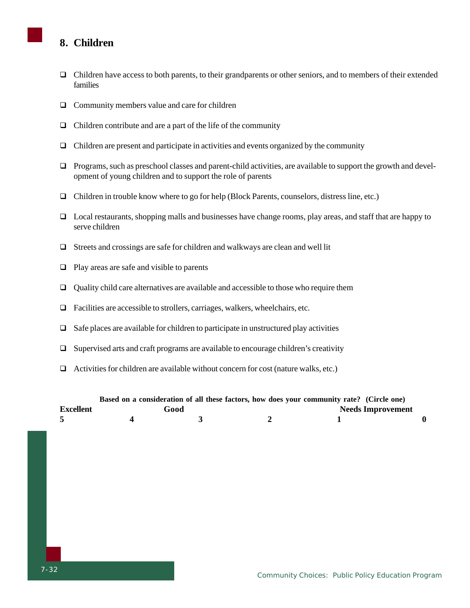### **8. Children**

- $\Box$  Children have access to both parents, to their grandparents or other seniors, and to members of their extended families
- $\Box$  Community members value and care for children
- $\Box$  Children contribute and are a part of the life of the community
- $\Box$  Children are present and participate in activities and events organized by the community
- $\Box$  Programs, such as preschool classes and parent-child activities, are available to support the growth and development of young children and to support the role of parents
- Children in trouble know where to go for help (Block Parents, counselors, distress line, etc.)
- $\Box$  Local restaurants, shopping malls and businesses have change rooms, play areas, and staff that are happy to serve children
- $\Box$  Streets and crossings are safe for children and walkways are clean and well lit
- $\Box$  Play areas are safe and visible to parents
- $\Box$  Quality child care alternatives are available and accessible to those who require them
- Facilities are accessible to strollers, carriages, walkers, wheelchairs, etc.
- $\Box$  Safe places are available for children to participate in unstructured play activities
- $\square$  Supervised arts and craft programs are available to encourage children's creativity
- $\Box$  Activities for children are available without concern for cost (nature walks, etc.)

|                  | Based on a consideration of all these factors, how does your community rate? (Circle one) |      |  |                          |
|------------------|-------------------------------------------------------------------------------------------|------|--|--------------------------|
| <b>Excellent</b> |                                                                                           | Good |  | <b>Needs Improvement</b> |
|                  |                                                                                           |      |  |                          |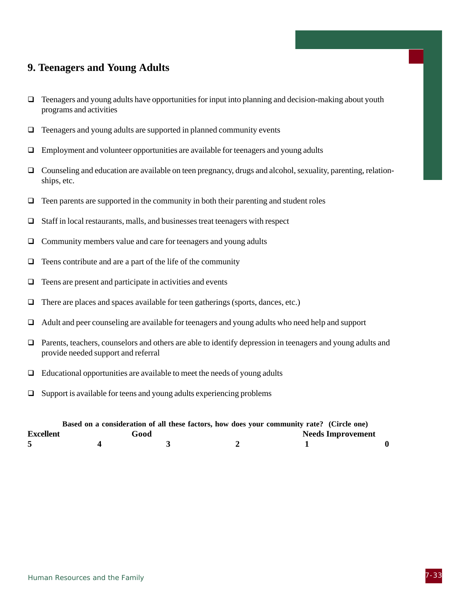### **9. Teenagers and Young Adults**

- $\Box$  Teenagers and young adults have opportunities for input into planning and decision-making about youth programs and activities
- $\Box$  Teenagers and young adults are supported in planned community events
- Employment and volunteer opportunities are available for teenagers and young adults
- Counseling and education are available on teen pregnancy, drugs and alcohol, sexuality, parenting, relationships, etc.
- $\Box$  Teen parents are supported in the community in both their parenting and student roles
- $\Box$  Staff in local restaurants, malls, and businesses treat teenagers with respect
- $\Box$  Community members value and care for teenagers and young adults
- $\Box$  Teens contribute and are a part of the life of the community
- $\Box$  Teens are present and participate in activities and events
- $\Box$  There are places and spaces available for teen gatherings (sports, dances, etc.)
- Adult and peer counseling are available for teenagers and young adults who need help and support
- $\Box$  Parents, teachers, counselors and others are able to identify depression in teenagers and young adults and provide needed support and referral
- $\Box$  Educational opportunities are available to meet the needs of young adults
- $\Box$  Support is available for teens and young adults experiencing problems

|                  | Based on a consideration of all these factors, how does your community rate? (Circle one) |  |                          |  |
|------------------|-------------------------------------------------------------------------------------------|--|--------------------------|--|
| <b>Excellent</b> | Good                                                                                      |  | <b>Needs Improvement</b> |  |
|                  |                                                                                           |  |                          |  |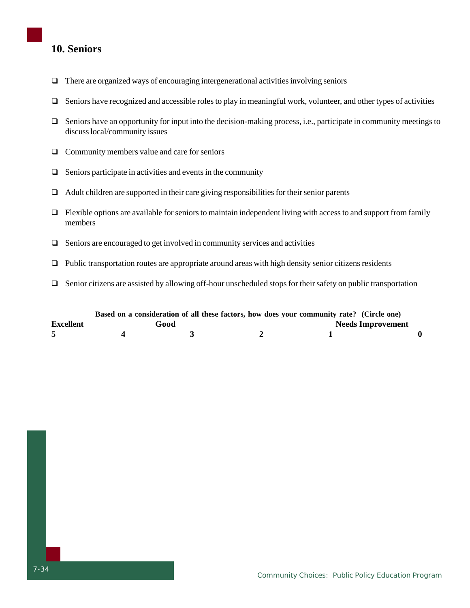### **10. Seniors**

- $\Box$  There are organized ways of encouraging intergenerational activities involving seniors
- $\Box$  Seniors have recognized and accessible roles to play in meaningful work, volunteer, and other types of activities
- $\Box$  Seniors have an opportunity for input into the decision-making process, i.e., participate in community meetings to discuss local/community issues
- $\Box$  Community members value and care for seniors
- $\Box$  Seniors participate in activities and events in the community
- $\Box$  Adult children are supported in their care giving responsibilities for their senior parents
- $\Box$  Flexible options are available for seniors to maintain independent living with access to and support from family members
- $\Box$  Seniors are encouraged to get involved in community services and activities
- $\Box$  Public transportation routes are appropriate around areas with high density senior citizens residents
- Senior citizens are assisted by allowing off-hour unscheduled stops for their safety on public transportation

|                  |      | Based on a consideration of all these factors, how does your community rate? (Circle one) |                          |
|------------------|------|-------------------------------------------------------------------------------------------|--------------------------|
| <b>Excellent</b> | Good |                                                                                           | <b>Needs Improvement</b> |
|                  |      |                                                                                           |                          |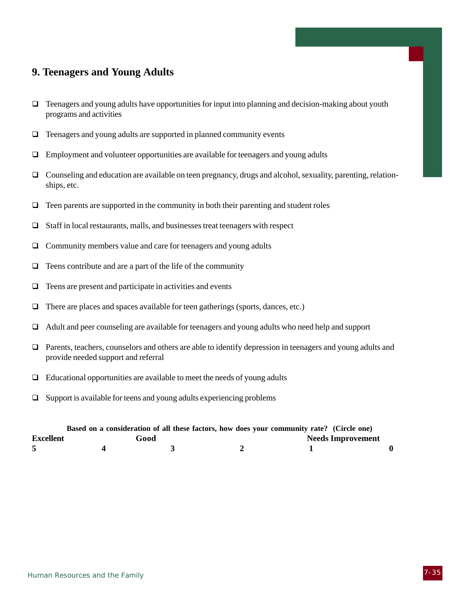### **9. Teenagers and Young Adults**

- $\Box$  Teenagers and young adults have opportunities for input into planning and decision-making about youth programs and activities
- $\Box$  Teenagers and young adults are supported in planned community events
- $\Box$  Employment and volunteer opportunities are available for teenagers and young adults
- Counseling and education are available on teen pregnancy, drugs and alcohol, sexuality, parenting, relationships, etc.
- $\Box$  Teen parents are supported in the community in both their parenting and student roles
- $\Box$  Staff in local restaurants, malls, and businesses treat teenagers with respect
- $\Box$  Community members value and care for teenagers and young adults
- $\Box$  Teens contribute and are a part of the life of the community
- $\Box$  Teens are present and participate in activities and events
- $\Box$  There are places and spaces available for teen gatherings (sports, dances, etc.)
- Adult and peer counseling are available for teenagers and young adults who need help and support
- Parents, teachers, counselors and others are able to identify depression in teenagers and young adults and provide needed support and referral
- $\Box$  Educational opportunities are available to meet the needs of young adults
- $\square$  Support is available for teens and young adults experiencing problems

|                  |      | Based on a consideration of all these factors, how does your community rate? (Circle one) |                          |  |
|------------------|------|-------------------------------------------------------------------------------------------|--------------------------|--|
| <b>Excellent</b> | Good |                                                                                           | <b>Needs Improvement</b> |  |
|                  |      |                                                                                           |                          |  |